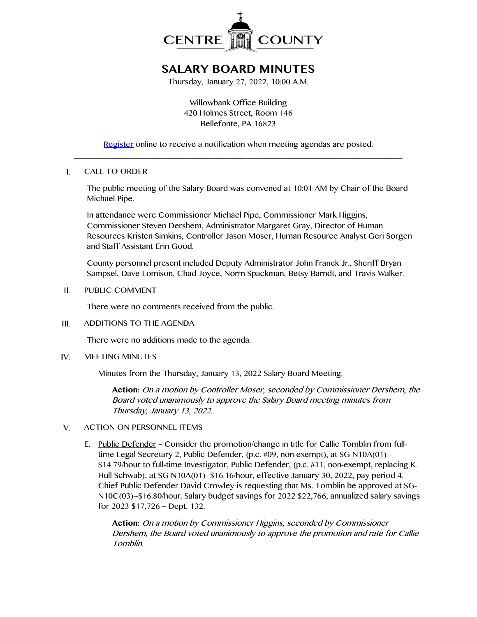

# **SALARY BOARD MINUTES**

Thursday, January 27, 2022, 10:00 A.M.

Willowbank Office Building 420 Holmes Street, Room 146 Bellefonte, PA 16823

[Register](http://www.centrecountypa.gov/AgendaCenter) online to receive a notification when meeting agendas are posted.  $\_$  , and the set of the set of the set of the set of the set of the set of the set of the set of the set of the set of the set of the set of the set of the set of the set of the set of the set of the set of the set of th

### $\mathbf{L}$ CALL TO ORDER

The public meeting of the Salary Board was convened at 10:01 AM by Chair of the Board Michael Pipe.

In attendance were Commissioner Michael Pipe, Commissioner Mark Higgins, Commissioner Steven Dershem, Administrator Margaret Gray, Director of Human Resources Kristen Simkins, Controller Jason Moser, Human Resource Analyst Geri Sorgen and Staff Assistant Erin Good.

County personnel present included Deputy Administrator John Franek Jr., Sheriff Bryan Sampsel, Dave Lomison, Chad Joyce, Norm Spackman, Betsy Barndt, and Travis Walker.

 $II.$ PUBLIC COMMENT

There were no comments received from the public.

 $III$ ADDITIONS TO THE AGENDA

There were no additions made to the agenda.

IV. MEETING MINUTES

Minutes from the Thursday, January 13, 2022 Salary Board Meeting.

**Action:** On a motion by Controller Moser, seconded by Commissioner Dershem, the Board voted unanimously to approve the Salary Board meeting minutes from Thursday, January 13, 2022.

#### $V_{1}$ ACTION ON PERSONNEL ITEMS

E. Public Defender – Consider the promotion/change in title for Callie Tomblin from fulltime Legal Secretary 2, Public Defender, (p.c. #09, non-exempt), at SG-N10A(01)-- \$14.79/hour to full-time Investigator, Public Defender, (p.c. #11, non-exempt, replacing K. Hull-Schwab), at SG-N10A(01)--\$16.16/hour, effective January 30, 2022, pay period 4. Chief Public Defender David Crowley is requesting that Ms. Tomblin be approved at SG-N10C(03)--\$16.80/hour. Salary budget savings for 2022 \$22,766, annualized salary savings for 2023 \$17,726 – Dept. 132.

**Action:** On a motion by Commissioner Higgins, seconded by Commissioner Dershem, the Board voted unanimously to approve the promotion and rate for Callie Tomblin.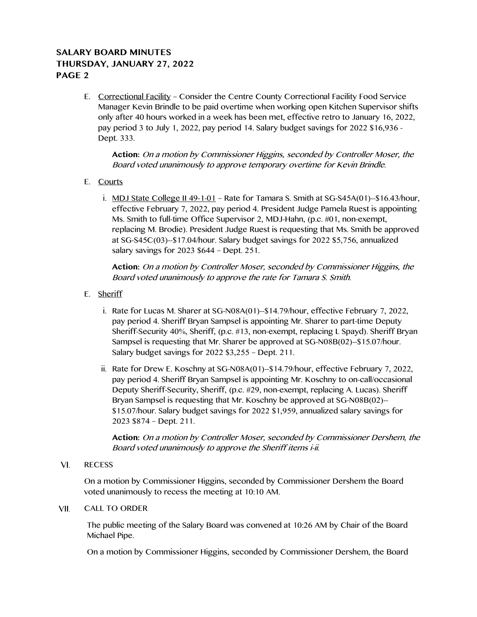# **SALARY BOARD MINUTES THURSDAY, JANUARY 27, 2022 PAGE 2**

E. Correctional Facility – Consider the Centre County Correctional Facility Food Service Manager Kevin Brindle to be paid overtime when working open Kitchen Supervisor shifts only after 40 hours worked in a week has been met, effective retro to January 16, 2022, pay period 3 to July 1, 2022, pay period 14. Salary budget savings for 2022 \$16,936 - Dept. 333.

**Action:** On a motion by Commissioner Higgins, seconded by Controller Moser, the Board voted unanimously to approve temporary overtime for Kevin Brindle.

- E. Courts
	- i. MDJ State College II 49-1-01 Rate for Tamara S. Smith at SG-S45A(01)--\$16.43/hour, effective February 7, 2022, pay period 4. President Judge Pamela Ruest is appointing Ms. Smith to full-time Office Supervisor 2, MDJ-Hahn, (p.c. #01, non-exempt, replacing M. Brodie). President Judge Ruest is requesting that Ms. Smith be approved at SG-S45C(03)--\$17.04/hour. Salary budget savings for 2022 \$5,756, annualized salary savings for 2023 \$644 – Dept. 251.

**Action:** On a motion by Controller Moser, seconded by Commissioner Higgins, the Board voted unanimously to approve the rate for Tamara S. Smith.

- E. Sheriff
	- i. Rate for Lucas M. Sharer at SG-N08A(01)--\$14.79/hour, effective February 7, 2022, pay period 4. Sheriff Bryan Sampsel is appointing Mr. Sharer to part-time Deputy Sheriff-Security 40%, Sheriff, (p.c. #13, non-exempt, replacing L Spayd). Sheriff Bryan Sampsel is requesting that Mr. Sharer be approved at SG-N08B(02)--\$15.07/hour. Salary budget savings for 2022 \$3,255 – Dept. 211.
	- ii. Rate for Drew E. Koschny at SG-N08A(01)--\$14.79/hour, effective February 7, 2022, pay period 4. Sheriff Bryan Sampsel is appointing Mr. Koschny to on-call/occasional Deputy Sheriff-Security, Sheriff, (p.c. #29, non-exempt, replacing A. Lucas). Sheriff Bryan Sampsel is requesting that Mr. Koschny be approved at SG-N08B(02)-- \$15.07/hour. Salary budget savings for 2022 \$1,959, annualized salary savings for 2023 \$874 – Dept. 211.

**Action:** On a motion by Controller Moser, seconded by Commissioner Dershem, the Board voted unanimously to approve the Sheriff items i-ii.

 $VI.$ **RECESS** 

> On a motion by Commissioner Higgins, seconded by Commissioner Dershem the Board voted unanimously to recess the meeting at 10:10 AM.

#### VII. CALL TO ORDER

The public meeting of the Salary Board was convened at 10:26 AM by Chair of the Board Michael Pipe.

On a motion by Commissioner Higgins, seconded by Commissioner Dershem, the Board